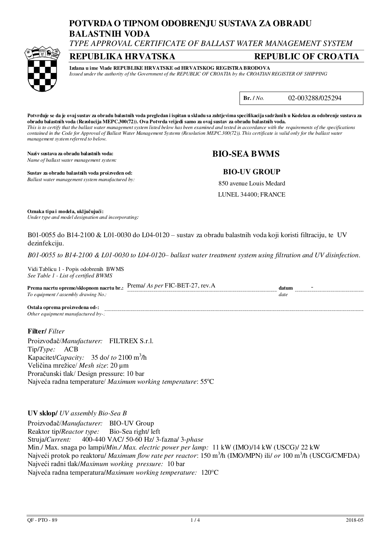# **POTVRDA O TIPNOM ODOBRENJU SUSTAVA ZA OBRADU BALASTNIH VODA**

*TYPE APPROVAL CERTIFICATE OF BALLAST WATER MANAGEMENT SYSTEM* 

## **REPUBLIKA HRVATSKA REPUBLIC OF CROATIA**



# **Izdana u ime Vlade REPUBLIKE HRVATSKE od HRVATSKOG REGISTRA BRODOVA**

*Issued under the authority of the Government of the REPUBLIC OF CROATIA by the CROATIAN REGISTER OF SHIPPING* 

**Br. /** *No.* 02-003288/025294

**Potvrđuje se da je ovaj sustav za obradu balastnih voda pregledan i ispitan u skladu sa zahtjevima specifikacija sadržanih u Kodeksu za odobrenje sustava za obradu balastnih voda (Rezolucija MEPC.300(72)). Ova Potvrda vrijedi samo za ovaj sustav za obradu balastnih voda.**  *This is to certify that the ballast water management system listed below has been examined and tested in accordance with the requirements of the specifications contained in the Code for Approval of Ballast Water Management Systems (Resolution MEPC.300(72)). This certificate is valid only for the ballast water management system referred to below.* 

**Naziv sustava za obradu balastnih voda: BIO-SEA BWMS**  *Name of ballast water management system:*

#### **Sustav za obradu balastnih voda proizveden od: BIO-UV GROUP**  *Ballast water management system manufactured by:*

850 avenue Louis Medard

LUNEL 34400; FRANCE

**Oznaka tipa i modela, uključujući:** *Under type and model designation and incorporating:* 

B01-0055 do B14-2100 & L01-0030 do L04-0120 – sustav za obradu balastnih voda koji koristi filtraciju, te UV dezinfekciju.

*B01-0055 to B14-2100 & L01-0030 to L04-0120– ballast water treatment system using filtration and UV disinfection.* 

Vidi Tablicu 1 - Popis odobrenih BWMS *See Table 1 - List of certified BWMS*

**Prema nacrtu opreme/sklopnom nacrtu br.:**  $\frac{$ Prema/ *As per* FIC-BET-27, rev.A **datum** datum *To equipment / assembly drawing No.: date*  **Ostala oprema proizvedena od-:** 

*Other equipment manufactured by-:* 

**Filter/** *Filter*

Proizvođač/*Manufacturer:* FILTREX S.r.l. Tip/*Type:* ACB Kapacitet/*Capacity:* 35 do/ *to* 2100 m<sup>3</sup> /h Veličina mrežice/ *Mesh size*: 20 µm Proračunski tlak/ Design pressure: 10 bar Najveća radna temperature/ *Maximum working temperature*: 55°C

**UV sklop/** *UV assembly Bio-Sea B*

Proizvođač/*Manufacturer:* BIO-UV Group Reaktor tip/*Reactor type:* Bio-Sea right/ left Struja/*Current:* 400-440 VAC/ 50-60 Hz/ 3-fazna/ 3-*phase*  Min./ Max. snaga po lampi/*Min./ Max. electric power per lamp:* 11 kW (IMO)/14 kW (USCG)/ 22 kW Najveći protok po reaktoru/ *Maximum flow rate per reactor*: 150 m<sup>3</sup> /h (IMO/MPN) ili/ *or* 100 m<sup>3</sup> /h (USCG/CMFDA) Najveći radni tlak/*Maximum working pressure:* 10 bar Najveća radna temperatura/*Maximum working temperature:* 120C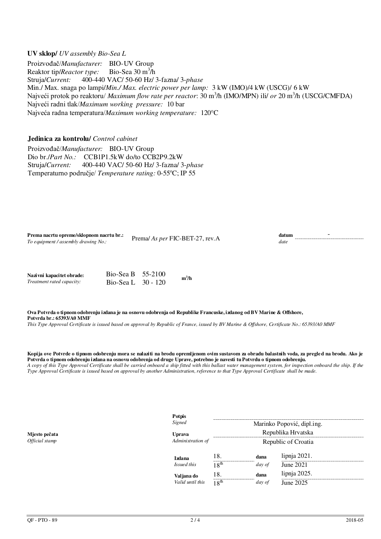**UV sklop/** *UV assembly Bio-Sea L*  Proizvođač/*Manufacturer:* BIO-UV Group Reaktor tip/*Reactor type:* Bio-Sea  $30 \text{ m}^3$ /h Struja/*Current:* 400-440 VAC/ 50-60 Hz/ 3-fazna/ 3-*phase*  Min./ Max. snaga po lampi/*Min./ Max. electric power per lamp:* 3 kW (IMO)/4 kW (USCG)/ 6 kW Najveći protok po reaktoru/ *Maximum flow rate per reactor*: 30 m<sup>3</sup> /h (IMO/MPN) ili/ *or* 20 m<sup>3</sup> /h (USCG/CMFDA) Najveći radni tlak/*Maximum working pressure:* 10 bar Najveća radna temperatura/*Maximum working temperature:* 120C

### **Jedinica za kontrolu/** *Control cabinet*

Proizvođač/*Manufacturer:* BIO-UV Group Dio br./*Part No.:* CCB1P1.5kW do/to CCB2P9.2kW Struja/*Current:* 400-440 VAC/ 50-60 Hz/ 3-fazna/ 3-*phase*  Temperaturno područje/ *Temperature rating:* 0-55°C; IP 55

| rema nacrtu opreme/sklopnom nacrtu br.: Prema/ As per FIC-BET-27, rev.A<br>datum<br>To equipment / assembly drawing No.:<br>date |  |  |  |
|----------------------------------------------------------------------------------------------------------------------------------|--|--|--|
|----------------------------------------------------------------------------------------------------------------------------------|--|--|--|

| Nazivni kapacitet obrade: | Bio-Sea B $55-2100$  | $m^3/h$ |
|---------------------------|----------------------|---------|
| Treatment rated capacity: | Bio-Sea L $30 - 120$ |         |

**Ova Potvrda o tipnom odobrenju izdana je na osnovu odobrenja od Republike Francuske, izdanog od BV Marine & Offshore, Potvrda br.: 65393/A0 MMF**

*This Type Approval Certificate is issued based on approval by Republic of France, issued by BV Marine & Offshore, Certificate No.: 65393/A0 MMF*

**Kopija ove Potvrde o tipnom odobrenju mora se nalaziti na brodu opremljenom ovim sustavom za obradu balastnih voda, za pregle d na brodu. Ako je Potvrda o tipnom odobrenju izdana na osnovu odobrenja od druge Uprave, potrebno je navesti tu Potvrdu o tipnom odobrenju.**  *A copy of this Type Approval Certificate shall be carried onboard a ship fitted with this ballast water management system, for inspection onboard the ship. If the Type Approval Certificate is issued based on approval by another Administration, reference to that Type Approval Certificate shall be made.* 

|                | Potpis<br>Signed                   |                  |                                           | Marinko Popović, dipl.ing. |
|----------------|------------------------------------|------------------|-------------------------------------------|----------------------------|
| Mjesto pečata  | <b>Uprava</b><br>Administration of |                  | Republika Hrvatska<br>Republic of Croatia |                            |
| Official stamp |                                    |                  |                                           |                            |
|                | Izdana                             | 18.              | dana                                      | lipnja $2021$ .            |
|                | Issued this                        | 18 <sup>th</sup> | day of                                    | June 2021                  |
|                | Valjana do                         | 18.              | dana                                      | lipnja 2025.               |
|                | Valid until this                   | 18 <sup>th</sup> | day of                                    | June 2025                  |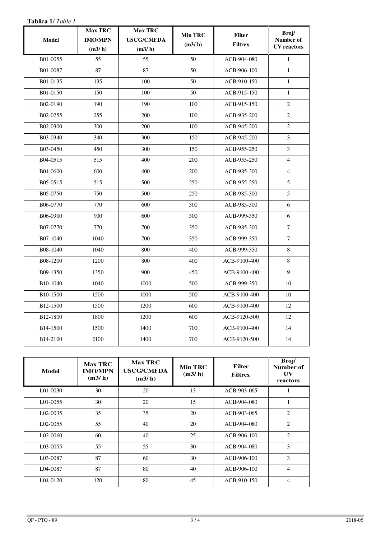| Tablica 1/ Table 1    |                                            |                                               |                          |                                 |                                          |
|-----------------------|--------------------------------------------|-----------------------------------------------|--------------------------|---------------------------------|------------------------------------------|
| <b>Model</b>          | <b>Max TRC</b><br><b>IMO/MPN</b><br>(m3/h) | <b>Max TRC</b><br><b>USCG/CMFDA</b><br>(m3/h) | <b>Min TRC</b><br>(m3/h) | <b>Filter</b><br><b>Filtrex</b> | Broj/<br>Number of<br><b>UV</b> reactors |
| B01-0055              | 55                                         | 55                                            | 50                       | ACB-904-080                     | $\mathbf{1}$                             |
| B01-0087              | 87                                         | 87                                            | 50                       | ACB-906-100                     | $\mathbf{1}$                             |
| B01-0135              | 135                                        | 100                                           | 50                       | ACB-910-150                     | $\mathbf{1}$                             |
| B01-0150              | 150                                        | 100                                           | 50                       | ACB-915-150                     | $\mathbf{1}$                             |
| B02-0190              | 190                                        | 190                                           | 100                      | ACB-915-150                     | $\overline{c}$                           |
| B02-0255              | 255                                        | 200                                           | 100                      | ACB-935-200                     | $\overline{2}$                           |
| B02-0300              | 300                                        | 200                                           | 100                      | ACB-945-200                     | 2                                        |
| B03-0340              | 340                                        | 300                                           | 150                      | ACB-945-200                     | $\overline{3}$                           |
| B03-0450              | 450                                        | 300                                           | 150                      | ACB-955-250                     | 3                                        |
| B04-0515              | 515                                        | 400                                           | 200                      | ACB-955-250                     | $\overline{4}$                           |
| B04-0600              | 600                                        | 400                                           | 200                      | ACB-985-300                     | $\overline{4}$                           |
| B05-0515              | 515                                        | 500                                           | 250                      | ACB-955-250                     | 5                                        |
| B05-0750              | 750                                        | 500                                           | 250                      | ACB-985-300                     | 5                                        |
| B06-0770              | 770                                        | 600                                           | 300                      | ACB-985-300                     | 6                                        |
| B06-0900              | 900                                        | 600                                           | 300                      | ACB-999-350                     | 6                                        |
| B07-0770              | 770                                        | 700                                           | 350                      | ACB-985-300                     | $\tau$                                   |
| B07-1040              | 1040                                       | 700                                           | 350                      | ACB-999-350                     | $\boldsymbol{7}$                         |
| B08-1040              | 1040                                       | 800                                           | 400                      | ACB-999-350                     | 8                                        |
| B08-1200              | 1200                                       | 800                                           | 400                      | ACB-9100-400                    | 8                                        |
| B09-1350              | 1350                                       | 900                                           | 450                      | ACB-9100-400                    | 9                                        |
| B10-1040              | 1040                                       | 1000                                          | 500                      | ACB-999-350                     | 10                                       |
| B <sub>10</sub> -1500 | 1500                                       | 1000                                          | 500                      | ACB-9100-400                    | 10                                       |
| B <sub>12</sub> -1500 | 1500                                       | 1200                                          | 600                      | ACB-9100-400                    | 12                                       |
| B <sub>12</sub> -1800 | 1800                                       | 1200                                          | 600                      | ACB-9120-500                    | 12                                       |
| B <sub>14</sub> -1500 | 1500                                       | 1400                                          | 700                      | ACB-9100-400                    | 14                                       |
| B <sub>14</sub> -2100 | 2100                                       | 1400                                          | 700                      | ACB-9120-500                    | 14                                       |

| Model          | <b>Max TRC</b><br><b>IMO/MPN</b><br>(m3/h) | <b>Max TRC</b><br><b>USCG/CMFDA</b><br>(m3/h) | Min TRC<br>(m3/h) | <b>Filter</b><br><b>Filtrex</b> | Broj/<br>Number of<br>UV<br>reactors |
|----------------|--------------------------------------------|-----------------------------------------------|-------------------|---------------------------------|--------------------------------------|
| $L01-0030$     | 30                                         | 20                                            | 13                | ACB-903-065                     |                                      |
| $L01-0055$     | 30                                         | 20                                            | 15                | ACB-904-080                     |                                      |
| $L_{02-0035}$  | 35                                         | 35                                            | 20                | ACB-903-065                     | $\overline{c}$                       |
| $1.02 - 00.55$ | 55                                         | 40                                            | 20                | ACB-904-080                     | $\overline{c}$                       |
| L02-0060       | 60                                         | 40                                            | 25                | ACB-906-100                     | 2                                    |
| L03-0055       | 55                                         | 55                                            | 30                | ACB-904-080                     | 3                                    |
| L03-0087       | 87                                         | 60                                            | 30                | $ACB-906-100$                   | 3                                    |
| L04-0087       | 87                                         | 80                                            | 40                | $ACB-906-100$                   | 4                                    |
| L04-0120       | 120                                        | 80                                            | 45                | ACB-910-150                     | 4                                    |